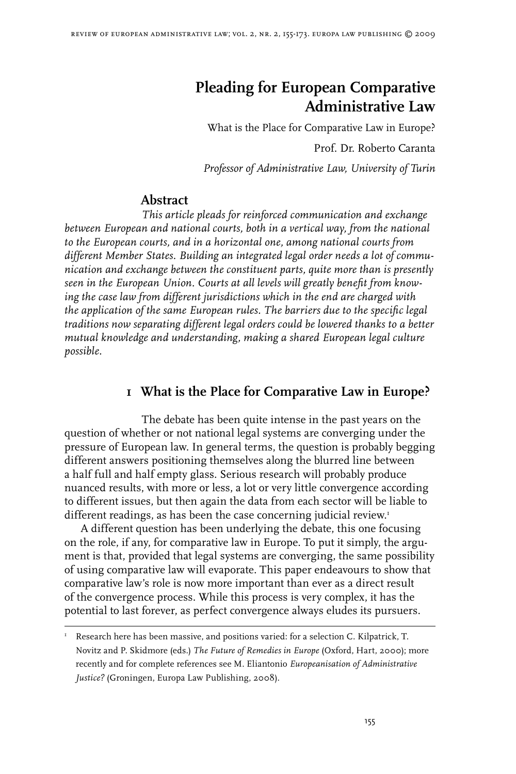# **Pleading for European Comparative Administrative Law**

What is the Place for Comparative Law in Europe? Prof. Dr. Roberto Caranta

*Professor of Administrative Law, University of Turin*

### **Abstract**

*This article pleads for reinforced communication and exchange between European and national courts, both in a vertical way, from the national to the European courts, and in a horizontal one, among national courts from different Member States. Building an integrated legal order needs a lot of communication and exchange between the constituent parts, quite more than is presently seen in the European Union. Courts at all levels will greatly benefit from knowing the case law from different jurisdictions which in the end are charged with the application of the same European rules. The barriers due to the specific legal traditions now separating different legal orders could be lowered thanks to a better mutual knowledge and understanding, making a shared European legal culture possible.*

## **1 What is the Place for Comparative Law in Europe?**

The debate has been quite intense in the past years on the question of whether or not national legal systems are converging under the pressure of European law. In general terms, the question is probably begging different answers positioning themselves along the blurred line between a half full and half empty glass. Serious research will probably produce nuanced results, with more or less, a lot or very little convergence according to different issues, but then again the data from each sector will be liable to different readings, as has been the case concerning judicial review.<sup>1</sup>

A different question has been underlying the debate, this one focusing on the role, if any, for comparative law in Europe. To put it simply, the argument is that, provided that legal systems are converging, the same possibility of using comparative law will evaporate. This paper endeavours to show that comparative law's role is now more important than ever as a direct result of the convergence process. While this process is very complex, it has the potential to last forever, as perfect convergence always eludes its pursuers.

I Research here has been massive, and positions varied: for a selection C. Kilpatrick, T. Novitz and P. Skidmore (eds.) *The Future of Remedies in Europe* (Oxford, Hart, 2000); more recently and for complete references see M. Eliantonio *Europeanisation of Administrative Justice?* (Groningen, Europa Law Publishing, 2008).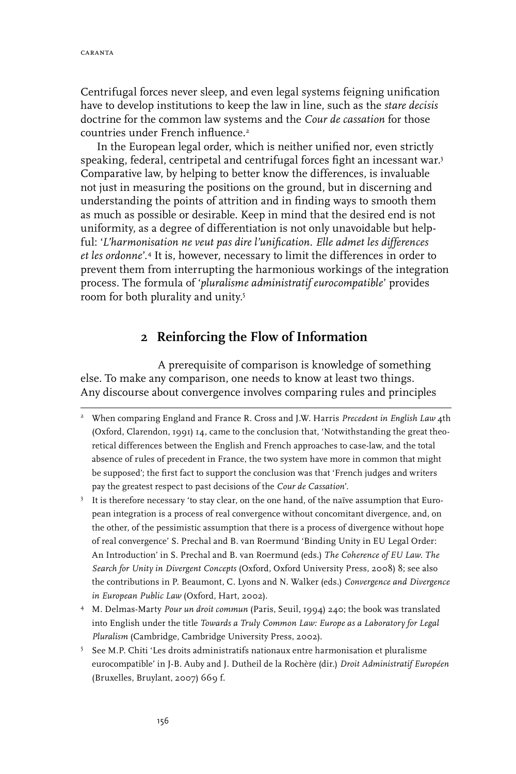Centrifugal forces never sleep, and even legal systems feigning unification have to develop institutions to keep the law in line, such as the *stare decisis* doctrine for the common law systems and the *Cour de cassation* for those countries under French influence.

In the European legal order, which is neither unified nor, even strictly speaking, federal, centripetal and centrifugal forces fight an incessant war.<sup>3</sup> Comparative law, by helping to better know the differences, is invaluable not just in measuring the positions on the ground, but in discerning and understanding the points of attrition and in finding ways to smooth them as much as possible or desirable. Keep in mind that the desired end is not uniformity, as a degree of differentiation is not only unavoidable but helpful: '*L'harmonisation ne veut pas dire l'unification. Elle admet les differences et les ordonne*'. It is, however, necessary to limit the differences in order to prevent them from interrupting the harmonious workings of the integration process. The formula of '*pluralisme administratif eurocompatible*' provides room for both plurality and unity.

### **2 Reinforcing the Flow of Information**

A prerequisite of comparison is knowledge of something else. To make any comparison, one needs to know at least two things. Any discourse about convergence involves comparing rules and principles

- M. Delmas-Marty *Pour un droit commun* (Paris, Seuil, 1994) 240; the book was translated into English under the title *Towards a Truly Common Law: Europe as a Laboratory for Legal Pluralism* (Cambridge, Cambridge University Press, 2002).
- 5 See M.P. Chiti 'Les droits administratifs nationaux entre harmonisation et pluralisme eurocompatible' in J-B. Auby and J. Dutheil de la Rochère (dir.) *Droit Administratif Européen* (Bruxelles, Bruylant, 2007) 669 f.

When comparing England and France R. Cross and J.W. Harris *Precedent in English Law* 4th (Oxford, Clarendon, 1991) 14, came to the conclusion that, 'Notwithstanding the great theoretical differences between the English and French approaches to case-law, and the total absence of rules of precedent in France, the two system have more in common that might be supposed'; the first fact to support the conclusion was that 'French judges and writers pay the greatest respect to past decisions of the *Cour de Cassation*'.

<sup>&</sup>lt;sup>3</sup> It is therefore necessary 'to stay clear, on the one hand, of the naïve assumption that European integration is a process of real convergence without concomitant divergence, and, on the other, of the pessimistic assumption that there is a process of divergence without hope of real convergence' S. Prechal and B. van Roermund 'Binding Unity in EU Legal Order: An Introduction' in S. Prechal and B. van Roermund (eds.) *The Coherence of EU Law. The Search for Unity in Divergent Concepts* (Oxford, Oxford University Press, 2008) 8; see also the contributions in P. Beaumont, C. Lyons and N. Walker (eds.) *Convergence and Divergence in European Public Law* (Oxford, Hart, 2002).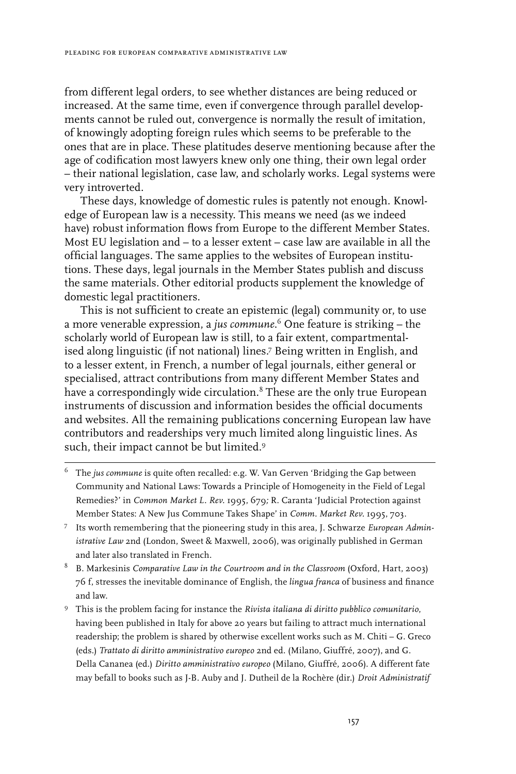from different legal orders, to see whether distances are being reduced or increased. At the same time, even if convergence through parallel developments cannot be ruled out, convergence is normally the result of imitation, of knowingly adopting foreign rules which seems to be preferable to the ones that are in place. These platitudes deserve mentioning because after the age of codification most lawyers knew only one thing, their own legal order – their national legislation, case law, and scholarly works. Legal systems were very introverted.

These days, knowledge of domestic rules is patently not enough. Knowledge of European law is a necessity. This means we need (as we indeed have) robust information flows from Europe to the different Member States. Most EU legislation and – to a lesser extent – case law are available in all the official languages. The same applies to the websites of European institutions. These days, legal journals in the Member States publish and discuss the same materials. Other editorial products supplement the knowledge of domestic legal practitioners.

This is not sufficient to create an epistemic (legal) community or, to use a more venerable expression, a *jus commune*. One feature is striking – the scholarly world of European law is still, to a fair extent, compartmentalised along linguistic (if not national) lines.<sup>7</sup> Being written in English, and to a lesser extent, in French, a number of legal journals, either general or specialised, attract contributions from many different Member States and have a correspondingly wide circulation.<sup>8</sup> These are the only true European instruments of discussion and information besides the official documents and websites. All the remaining publications concerning European law have contributors and readerships very much limited along linguistic lines. As such, their impact cannot be but limited.<sup>9</sup>

- The *jus commune* is quite often recalled: e.g. W. Van Gerven 'Bridging the Gap between Community and National Laws: Towards a Principle of Homogeneity in the Field of Legal Remedies?' in *Common Market L. Rev.* 1995, 679*;* R. Caranta 'Judicial Protection against Member States: A New Jus Commune Takes Shape' in *Comm. Market Rev.* 1995, 703.
- Its worth remembering that the pioneering study in this area, J. Schwarze *European Administrative Law* 2nd (London, Sweet & Maxwell, 2006), was originally published in German and later also translated in French.
- B. Markesinis *Comparative Law in the Courtroom and in the Classroom* (Oxford, Hart, 2003) 76 f, stresses the inevitable dominance of English, the *lingua franca* of business and finance and law.
- This is the problem facing for instance the *Rivista italiana di diritto pubblico comunitario*, having been published in Italy for above 20 years but failing to attract much international readership; the problem is shared by otherwise excellent works such as M. Chiti – G. Greco (eds.) *Trattato di diritto amministrativo europeo* 2nd ed. (Milano, Giuffré, 2007), and G. Della Cananea (ed.) *Diritto amministrativo europeo* (Milano, Giuffré, 2006). A different fate may befall to books such as J-B. Auby and J. Dutheil de la Rochère (dir.) *Droit Administratif*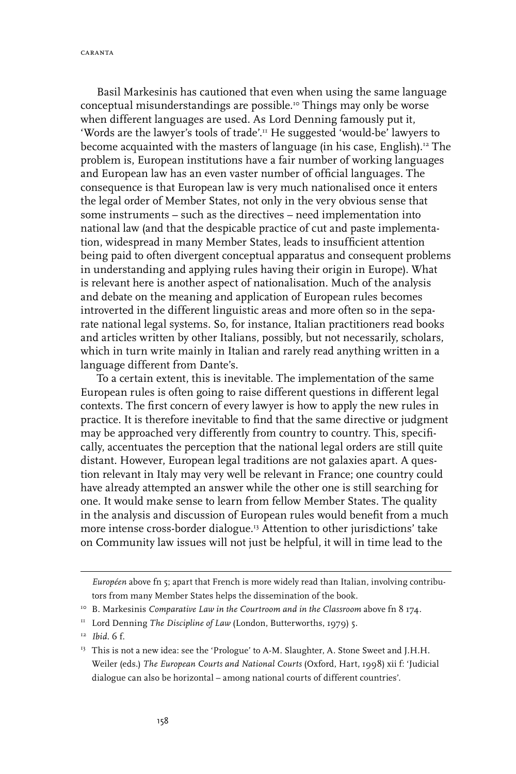caranta

Basil Markesinis has cautioned that even when using the same language conceptual misunderstandings are possible.<sup>10</sup> Things may only be worse when different languages are used. As Lord Denning famously put it, 'Words are the lawyer's tools of trade'.11 He suggested 'would-be' lawyers to become acquainted with the masters of language (in his case, English).12 The problem is, European institutions have a fair number of working languages and European law has an even vaster number of official languages. The consequence is that European law is very much nationalised once it enters the legal order of Member States, not only in the very obvious sense that some instruments – such as the directives – need implementation into national law (and that the despicable practice of cut and paste implementation, widespread in many Member States, leads to insufficient attention being paid to often divergent conceptual apparatus and consequent problems in understanding and applying rules having their origin in Europe). What is relevant here is another aspect of nationalisation. Much of the analysis and debate on the meaning and application of European rules becomes introverted in the different linguistic areas and more often so in the separate national legal systems. So, for instance, Italian practitioners read books and articles written by other Italians, possibly, but not necessarily, scholars, which in turn write mainly in Italian and rarely read anything written in a language different from Dante's.

To a certain extent, this is inevitable. The implementation of the same European rules is often going to raise different questions in different legal contexts. The first concern of every lawyer is how to apply the new rules in practice. It is therefore inevitable to find that the same directive or judgment may be approached very differently from country to country. This, specifically, accentuates the perception that the national legal orders are still quite distant. However, European legal traditions are not galaxies apart. A question relevant in Italy may very well be relevant in France; one country could have already attempted an answer while the other one is still searching for one. It would make sense to learn from fellow Member States. The quality in the analysis and discussion of European rules would benefit from a much more intense cross-border dialogue.<sup>13</sup> Attention to other jurisdictions' take on Community law issues will not just be helpful, it will in time lead to the

*Européen* above fn 5; apart that French is more widely read than Italian, involving contributors from many Member States helps the dissemination of the book.

<sup>&</sup>lt;sup>10</sup> B. Markesinis *Comparative Law in the Courtroom and in the Classroom* above fn 8 174.

<sup>&</sup>lt;sup>11</sup> Lord Denning *The Discipline of Law* (London, Butterworths, 1979) 5.

<sup>12</sup> *Ibid.* 6 f.

<sup>&</sup>lt;sup>13</sup> This is not a new idea: see the 'Prologue' to A-M. Slaughter, A. Stone Sweet and J.H.H. Weiler (eds.) *The European Courts and National Courts* (Oxford, Hart, 1998) xii f: 'Judicial dialogue can also be horizontal – among national courts of different countries'.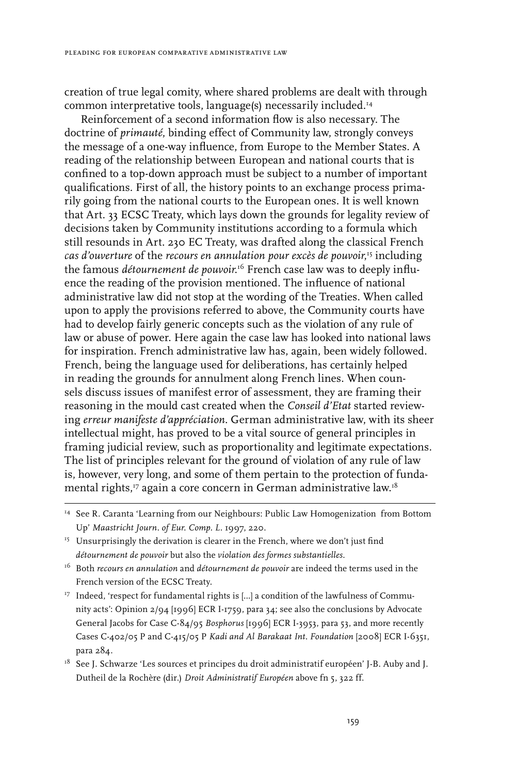creation of true legal comity, where shared problems are dealt with through common interpretative tools, language(s) necessarily included.14

Reinforcement of a second information flow is also necessary. The doctrine of *primauté*, binding effect of Community law, strongly conveys the message of a one-way influence, from Europe to the Member States. A reading of the relationship between European and national courts that is confined to a top-down approach must be subject to a number of important qualifications. First of all, the history points to an exchange process primarily going from the national courts to the European ones. It is well known that Art. 33 ECSC Treaty, which lays down the grounds for legality review of decisions taken by Community institutions according to a formula which still resounds in Art. 230 EC Treaty, was drafted along the classical French *cas d'ouverture* of the *recours en annulation pour excès de pouvoir*, 15 including the famous *détournement de pouvoir*.16 French case law was to deeply influence the reading of the provision mentioned. The influence of national administrative law did not stop at the wording of the Treaties. When called upon to apply the provisions referred to above, the Community courts have had to develop fairly generic concepts such as the violation of any rule of law or abuse of power. Here again the case law has looked into national laws for inspiration. French administrative law has, again, been widely followed. French, being the language used for deliberations, has certainly helped in reading the grounds for annulment along French lines. When counsels discuss issues of manifest error of assessment, they are framing their reasoning in the mould cast created when the *Conseil d'Etat* started reviewing *erreur manifeste d'appréciation*. German administrative law, with its sheer intellectual might, has proved to be a vital source of general principles in framing judicial review, such as proportionality and legitimate expectations. The list of principles relevant for the ground of violation of any rule of law is, however, very long, and some of them pertain to the protection of fundamental rights,17 again a core concern in German administrative law.18

- <sup>17</sup> Indeed, 'respect for fundamental rights is [...] a condition of the lawfulness of Community acts': Opinion 2/94 [1996] ECR I-1759, para 34; see also the conclusions by Advocate General Jacobs for Case C-84/95 *Bosphorus* [1996] ECR I-3953, para 53, and more recently Cases C-402/05 P and C-415/05 P *Kadi and Al Barakaat Int. Foundation* [2008] ECR I-6351, para 284.
- <sup>18</sup> See J. Schwarze 'Les sources et principes du droit administratif européen' J-B. Auby and J. Dutheil de la Rochère (dir.) *Droit Administratif Européen* above fn 5, 322 ff.

<sup>&</sup>lt;sup>14</sup> See R. Caranta 'Learning from our Neighbours: Public Law Homogenization from Bottom Up' *Maastricht Journ. of Eur. Comp. L.* 1997, 220.

 $15$  Unsurprisingly the derivation is clearer in the French, where we don't just find *détournement de pouvoir* but also the *violation des formes substantielles*.

<sup>16</sup> Both *recours en annulation* and *détournement de pouvoir* are indeed the terms used in the French version of the ECSC Treaty.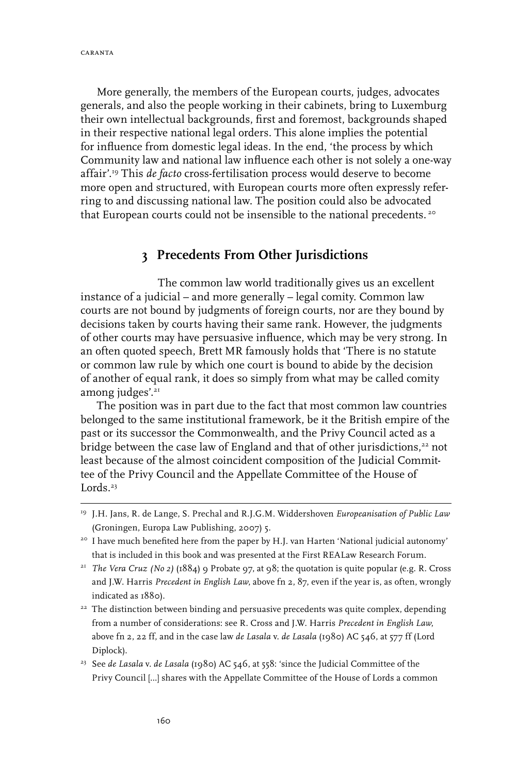More generally, the members of the European courts, judges, advocates generals, and also the people working in their cabinets, bring to Luxemburg their own intellectual backgrounds, first and foremost, backgrounds shaped in their respective national legal orders. This alone implies the potential for influence from domestic legal ideas. In the end, 'the process by which Community law and national law influence each other is not solely a one-way affair'.19 This *de facto* cross-fertilisation process would deserve to become more open and structured, with European courts more often expressly referring to and discussing national law. The position could also be advocated that European courts could not be insensible to the national precedents.<sup>20</sup>

# **3 Precedents From Other Jurisdictions**

The common law world traditionally gives us an excellent instance of a judicial – and more generally – legal comity. Common law courts are not bound by judgments of foreign courts, nor are they bound by decisions taken by courts having their same rank. However, the judgments of other courts may have persuasive influence, which may be very strong. In an often quoted speech, Brett MR famously holds that 'There is no statute or common law rule by which one court is bound to abide by the decision of another of equal rank, it does so simply from what may be called comity among judges'.<sup>21</sup>

The position was in part due to the fact that most common law countries belonged to the same institutional framework, be it the British empire of the past or its successor the Commonwealth, and the Privy Council acted as a bridge between the case law of England and that of other jurisdictions,<sup>22</sup> not least because of the almost coincident composition of the Judicial Committee of the Privy Council and the Appellate Committee of the House of Lords. $23$ 

<sup>19</sup> J.H. Jans, R. de Lange, S. Prechal and R.J.G.M. Widdershoven *Europeanisation of Public Law* (Groningen, Europa Law Publishing, 2007) 5.

<sup>&</sup>lt;sup>20</sup> I have much benefited here from the paper by H.J. van Harten 'National judicial autonomy' that is included in this book and was presented at the First REALaw Research Forum.

<sup>21</sup> *The Vera Cruz (No 2)* (1884) 9 Probate 97, at 98; the quotation is quite popular (e.g. R. Cross and J.W. Harris *Precedent in English Law*, above fn 2, 87, even if the year is, as often, wrongly indicated as 1880).

<sup>&</sup>lt;sup>22</sup> The distinction between binding and persuasive precedents was quite complex, depending from a number of considerations: see R. Cross and J.W. Harris *Precedent in English Law*, above fn 2, 22 ff, and in the case law *de Lasala* v. *de Lasala* (1980) AC 546, at 577 ff (Lord Diplock).

<sup>23</sup> See *de Lasala* v. *de Lasala* (1980) AC 546, at 558: 'since the Judicial Committee of the Privy Council […] shares with the Appellate Committee of the House of Lords a common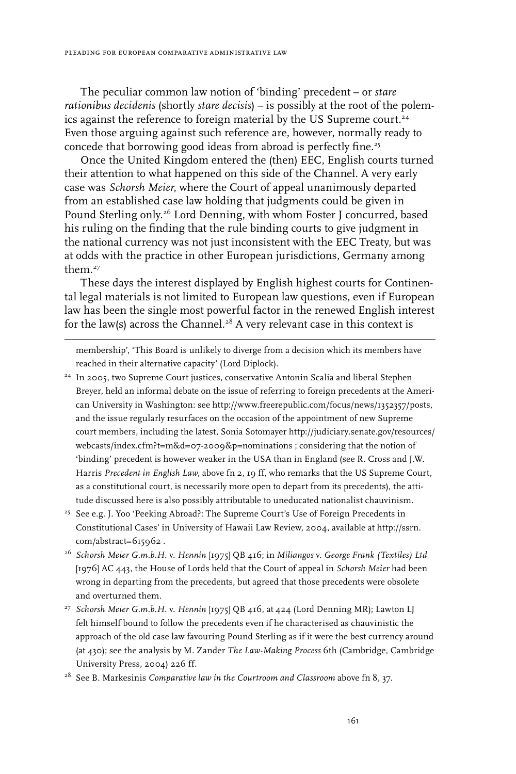The peculiar common law notion of 'binding' precedent – or *stare rationibus decidenis* (shortly *stare decisis*) – is possibly at the root of the polemics against the reference to foreign material by the US Supreme court.<sup>24</sup> Even those arguing against such reference are, however, normally ready to concede that borrowing good ideas from abroad is perfectly fine.<sup>25</sup>

Once the United Kingdom entered the (then) EEC, English courts turned their attention to what happened on this side of the Channel. A very early case was *Schorsh Meier*, where the Court of appeal unanimously departed from an established case law holding that judgments could be given in Pound Sterling only.<sup>26</sup> Lord Denning, with whom Foster J concurred, based his ruling on the finding that the rule binding courts to give judgment in the national currency was not just inconsistent with the EEC Treaty, but was at odds with the practice in other European jurisdictions, Germany among them.27

These days the interest displayed by English highest courts for Continental legal materials is not limited to European law questions, even if European law has been the single most powerful factor in the renewed English interest for the law(s) across the Channel.<sup>28</sup> A very relevant case in this context is

membership', 'This Board is unlikely to diverge from a decision which its members have reached in their alternative capacity' (Lord Diplock).

- <sup>24</sup> In 2005, two Supreme Court justices, conservative Antonin Scalia and liberal Stephen Breyer, held an informal debate on the issue of referring to foreign precedents at the American University in Washington: see http://www.freerepublic.com/focus/news/1352357/posts, and the issue regularly resurfaces on the occasion of the appointment of new Supreme court members, including the latest, Sonia Sotomayer http://judiciary.senate.gov/resources/ webcasts/index.cfm?t=m&d=07-2009&p=nominations ; considering that the notion of 'binding' precedent is however weaker in the USA than in England (see R. Cross and J.W. Harris *Precedent in English Law*, above fn 2, 19 ff, who remarks that the US Supreme Court, as a constitutional court, is necessarily more open to depart from its precedents), the attitude discussed here is also possibly attributable to uneducated nationalist chauvinism.
- <sup>25</sup> See e.g. J. Yoo 'Peeking Abroad?: The Supreme Court's Use of Foreign Precedents in Constitutional Cases' in University of Hawaii Law Review, 2004, available at http://ssrn. com/abstract=615962 .
- 26 *Schorsh Meier G.m.b.H.* v. *Hennin* [1975] QB 416; in *Miliangos* v. *George Frank (Textiles) Ltd* [1976] AC 443, the House of Lords held that the Court of appeal in *Schorsh Meier* had been wrong in departing from the precedents, but agreed that those precedents were obsolete and overturned them.
- <sup>27</sup> Schorsh Meier G.m.b.H. v. *Hennin* [1975] QB 416, at 424 (Lord Denning MR); Lawton LJ felt himself bound to follow the precedents even if he characterised as chauvinistic the approach of the old case law favouring Pound Sterling as if it were the best currency around (at 430); see the analysis by M. Zander *The Law-Making Process* 6th (Cambridge, Cambridge University Press, 2004) 226 ff.

<sup>28</sup> See B. Markesinis *Comparative law in the Courtroom and Classroom* above fn 8, 37.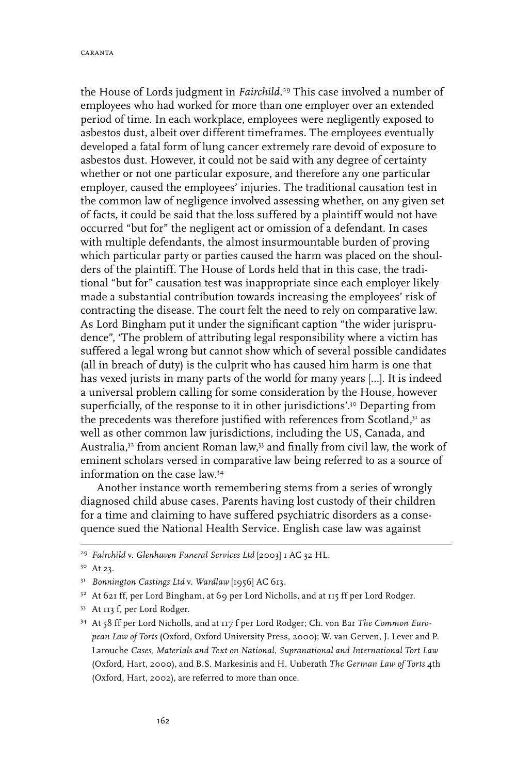caranta

the House of Lords judgment in *Fairchild*. 29 This case involved a number of employees who had worked for more than one employer over an extended period of time. In each workplace, employees were negligently exposed to asbestos dust, albeit over different timeframes. The employees eventually developed a fatal form of lung cancer extremely rare devoid of exposure to asbestos dust. However, it could not be said with any degree of certainty whether or not one particular exposure, and therefore any one particular employer, caused the employees' injuries. The traditional causation test in the common law of negligence involved assessing whether, on any given set of facts, it could be said that the loss suffered by a plaintiff would not have occurred "but for" the negligent act or omission of a defendant. In cases with multiple defendants, the almost insurmountable burden of proving which particular party or parties caused the harm was placed on the shoulders of the plaintiff. The House of Lords held that in this case, the traditional "but for" causation test was inappropriate since each employer likely made a substantial contribution towards increasing the employees' risk of contracting the disease. The court felt the need to rely on comparative law. As Lord Bingham put it under the significant caption "the wider jurisprudence", 'The problem of attributing legal responsibility where a victim has suffered a legal wrong but cannot show which of several possible candidates (all in breach of duty) is the culprit who has caused him harm is one that has vexed jurists in many parts of the world for many years […]. It is indeed a universal problem calling for some consideration by the House, however superficially, of the response to it in other jurisdictions'.<sup>30</sup> Departing from the precedents was therefore justified with references from Scotland,<sup>31</sup> as well as other common law jurisdictions, including the US, Canada, and Australia,32 from ancient Roman law,33 and finally from civil law, the work of eminent scholars versed in comparative law being referred to as a source of information on the case law.34

Another instance worth remembering stems from a series of wrongly diagnosed child abuse cases. Parents having lost custody of their children for a time and claiming to have suffered psychiatric disorders as a consequence sued the National Health Service. English case law was against

<sup>29</sup> *Fairchild* v. *Glenhaven Funeral Services Ltd* [2003] 1 AC 32 HL.

<sup>30</sup> At 23.

<sup>31</sup> *Bonnington Castings Ltd* v. *Wardlaw* [1956] AC 613.

<sup>32</sup> At 621 ff, per Lord Bingham, at 69 per Lord Nicholls, and at 115 ff per Lord Rodger.

<sup>33</sup> At 113 f, per Lord Rodger.

<sup>34</sup> At 58 ff per Lord Nicholls, and at 117 f per Lord Rodger; Ch. von Bar *The Common European Law of Torts* (Oxford, Oxford University Press, 2000); W. van Gerven, J. Lever and P. Larouche *Cases, Materials and Text on National, Supranational and International Tort Law* (Oxford, Hart, 2000), and B.S. Markesinis and H. Unberath *The German Law of Torts* 4th (Oxford, Hart, 2002), are referred to more than once.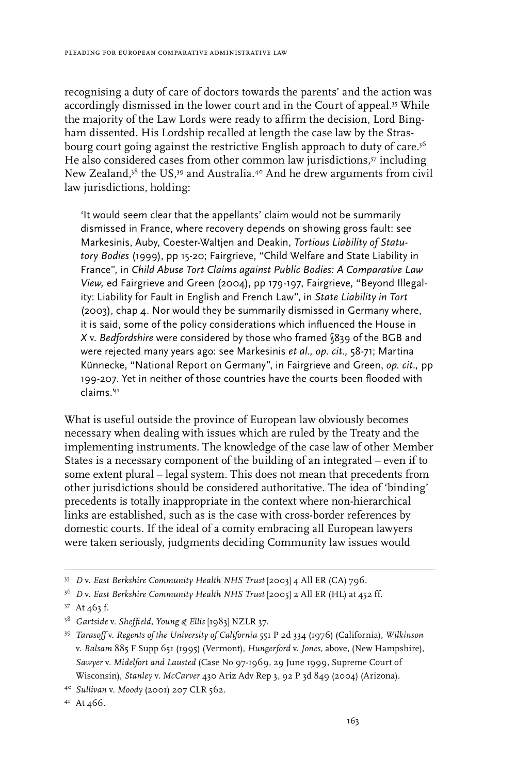recognising a duty of care of doctors towards the parents' and the action was accordingly dismissed in the lower court and in the Court of appeal.35 While the majority of the Law Lords were ready to affirm the decision, Lord Bingham dissented. His Lordship recalled at length the case law by the Strasbourg court going against the restrictive English approach to duty of care.<sup>36</sup> He also considered cases from other common law jurisdictions,<sup>37</sup> including New Zealand,38 the US,39 and Australia.40 And he drew arguments from civil law jurisdictions, holding:

'It would seem clear that the appellants' claim would not be summarily dismissed in France, where recovery depends on showing gross fault: see Markesinis, Auby, Coester-Waltjen and Deakin, *Tortious Liability of Statutory Bodies* (1999), pp 15-20; Fairgrieve, "Child Welfare and State Liability in France", in *Child Abuse Tort Claims against Public Bodies: A Comparative Law View,* ed Fairgrieve and Green (2004), pp 179-197, Fairgrieve, "Beyond Illegality: Liability for Fault in English and French Law", in *State Liability in Tort* (2003), chap 4. Nor would they be summarily dismissed in Germany where, it is said, some of the policy considerations which influenced the House in *X* v. *Bedfordshire* were considered by those who framed §839 of the BGB and were rejected many years ago: see Markesinis *et al., op. cit.,* 58-71; Martina Künnecke, "National Report on Germany", in Fairgrieve and Green, *op. cit.,* pp 199-207. Yet in neither of those countries have the courts been flooded with claims.'41

What is useful outside the province of European law obviously becomes necessary when dealing with issues which are ruled by the Treaty and the implementing instruments. The knowledge of the case law of other Member States is a necessary component of the building of an integrated – even if to some extent plural – legal system. This does not mean that precedents from other jurisdictions should be considered authoritative. The idea of 'binding' precedents is totally inappropriate in the context where non-hierarchical links are established, such as is the case with cross-border references by domestic courts. If the ideal of a comity embracing all European lawyers were taken seriously, judgments deciding Community law issues would

<sup>35</sup> *D* v. *East Berkshire Community Health NHS Trust* [2003] 4 All ER (CA) 796.

<sup>36</sup> *D* v. *East Berkshire Community Health NHS Trust* [2005] 2 All ER (HL) at 452 ff.

<sup>37</sup> At 463 f.

<sup>38</sup> *Gartside* v. *Sheffield, Young & Ellis* [1983] NZLR 37.

<sup>39</sup> *Tarasoff* v. *Regents of the University of California* 551 P 2d 334 (1976) (California), *Wilkinson* v. *Balsam* 885 F Supp 651 (1995) (Vermont), *Hungerford* v. *Jones,* above, (New Hampshire), *Sawyer* v. *Midelfort and Lausted* (Case No 97-1969, 29 June 1999, Supreme Court of Wisconsin), *Stanley* v. *McCarver* 430 Ariz Adv Rep 3, 92 P 3d 849 (2004) (Arizona).

<sup>40</sup> *Sullivan* v. *Moody* (2001) 207 CLR 562.

<sup>&</sup>lt;sup>41</sup> At 466.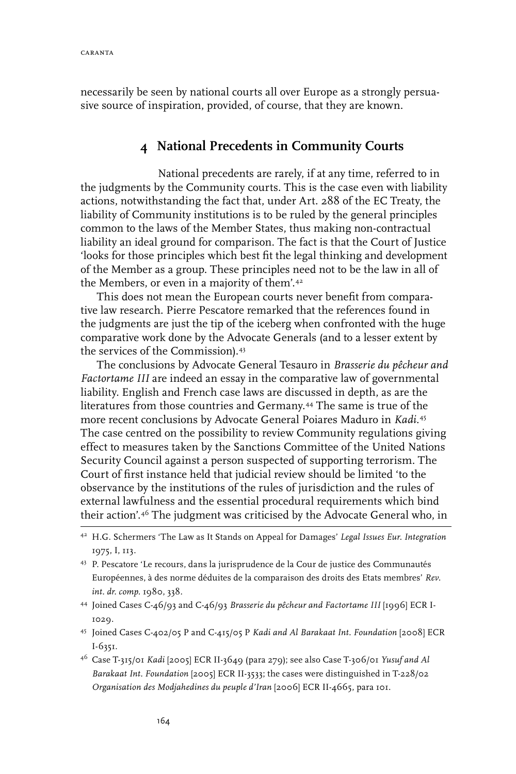necessarily be seen by national courts all over Europe as a strongly persuasive source of inspiration, provided, of course, that they are known.

### **4 National Precedents in Community Courts**

National precedents are rarely, if at any time, referred to in the judgments by the Community courts. This is the case even with liability actions, notwithstanding the fact that, under Art. 288 of the EC Treaty, the liability of Community institutions is to be ruled by the general principles common to the laws of the Member States, thus making non-contractual liability an ideal ground for comparison. The fact is that the Court of Justice 'looks for those principles which best fit the legal thinking and development of the Member as a group. These principles need not to be the law in all of the Members, or even in a majority of them'.42

This does not mean the European courts never benefit from comparative law research. Pierre Pescatore remarked that the references found in the judgments are just the tip of the iceberg when confronted with the huge comparative work done by the Advocate Generals (and to a lesser extent by the services of the Commission).43

The conclusions by Advocate General Tesauro in *Brasserie du pêcheur and Factortame III* are indeed an essay in the comparative law of governmental liability. English and French case laws are discussed in depth, as are the literatures from those countries and Germany.44 The same is true of the more recent conclusions by Advocate General Poiares Maduro in *Kadi*. 45 The case centred on the possibility to review Community regulations giving effect to measures taken by the Sanctions Committee of the United Nations Security Council against a person suspected of supporting terrorism. The Court of first instance held that judicial review should be limited 'to the observance by the institutions of the rules of jurisdiction and the rules of external lawfulness and the essential procedural requirements which bind their action'.46 The judgment was criticised by the Advocate General who, in

- 43 P. Pescatore 'Le recours, dans la jurisprudence de la Cour de justice des Communautés Européennes, à des norme déduites de la comparaison des droits des Etats membres' *Rev. int. dr. comp.* 1980, 338.
- 44 Joined Cases C-46/93 and C-46/93 *Brasserie du pêcheur and Factortame III* [1996] ECR I- 1029.
- 45 Joined Cases C-402/05 P and C-415/05 P *Kadi and Al Barakaat Int. Foundation* [2008] ECR I-6351.
- 46 Case T-315/01 *Kadi* [2005] ECR II-3649 (para 279); see also Case T-306/01 *Yusuf and Al Barakaat Int. Foundation* [2005] ECR II-3533; the cases were distinguished in T-228/02 *Organisation des Modjahedines du peuple d'Iran* [2006] ECR II-4665, para 101.

<sup>42</sup> H.G. Schermers 'The Law as It Stands on Appeal for Damages' *Legal Issues Eur. Integration*  1975, I, 113.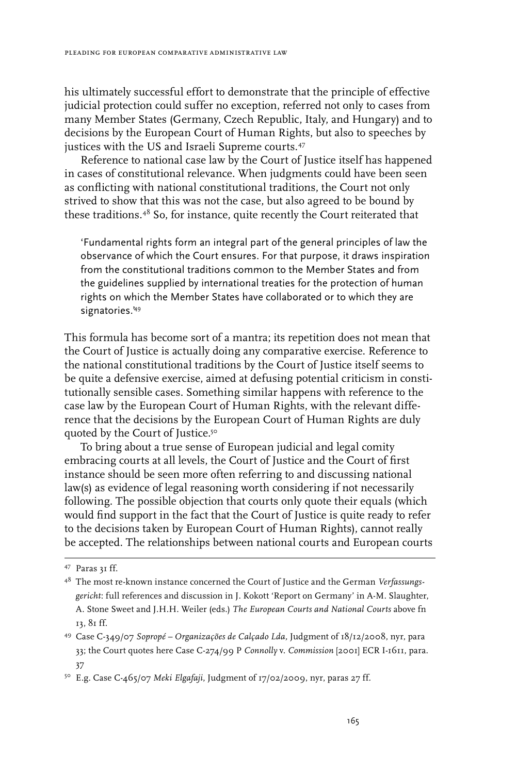his ultimately successful effort to demonstrate that the principle of effective judicial protection could suffer no exception, referred not only to cases from many Member States (Germany, Czech Republic, Italy, and Hungary) and to decisions by the European Court of Human Rights, but also to speeches by justices with the US and Israeli Supreme courts.<sup>47</sup>

Reference to national case law by the Court of Justice itself has happened in cases of constitutional relevance. When judgments could have been seen as conflicting with national constitutional traditions, the Court not only strived to show that this was not the case, but also agreed to be bound by these traditions.48 So, for instance, quite recently the Court reiterated that

'Fundamental rights form an integral part of the general principles of law the observance of which the Court ensures. For that purpose, it draws inspiration from the constitutional traditions common to the Member States and from the guidelines supplied by international treaties for the protection of human rights on which the Member States have collaborated or to which they are signatories.'49

This formula has become sort of a mantra; its repetition does not mean that the Court of Justice is actually doing any comparative exercise. Reference to the national constitutional traditions by the Court of Justice itself seems to be quite a defensive exercise, aimed at defusing potential criticism in constitutionally sensible cases. Something similar happens with reference to the case law by the European Court of Human Rights, with the relevant difference that the decisions by the European Court of Human Rights are duly quoted by the Court of Justice.50

To bring about a true sense of European judicial and legal comity embracing courts at all levels, the Court of Justice and the Court of first instance should be seen more often referring to and discussing national law(s) as evidence of legal reasoning worth considering if not necessarily following. The possible objection that courts only quote their equals (which would find support in the fact that the Court of Justice is quite ready to refer to the decisions taken by European Court of Human Rights), cannot really be accepted. The relationships between national courts and European courts

50 E.g. Case C-465/07 *Meki Elgafaji*, Judgment of 17/02/2009, nyr, paras 27 ff.

<sup>47</sup> Paras 31 ff.

<sup>48</sup> The most re-known instance concerned the Court of Justice and the German *Verfassungsgericht*: full references and discussion in J. Kokott 'Report on Germany' in A-M. Slaughter, A. Stone Sweet and J.H.H. Weiler (eds.) *The European Courts and National Courts* above fn 13, 81 ff.

<sup>49</sup> Case C‑349/07 *Sopropé – Organizações de Calçado Lda,* Judgment of 18/12/2008, nyr, para 33; the Court quotes here Case C-274/99 P *Connolly* v. *Commission* [2001] ECR I-1611, para. 37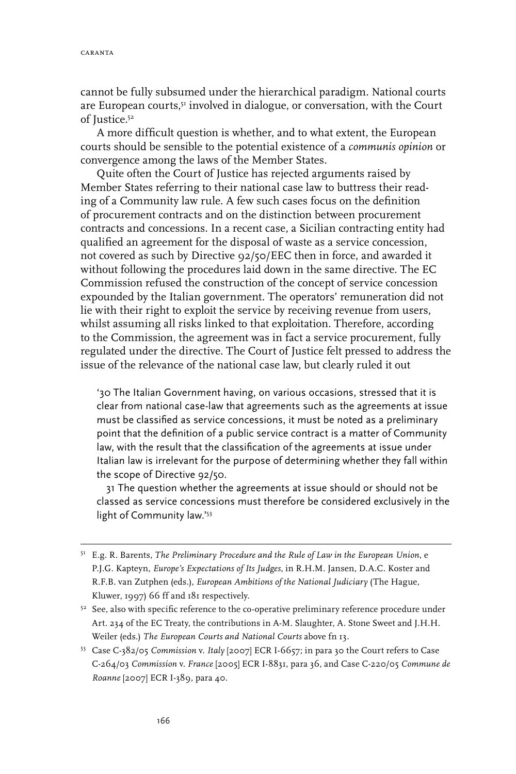cannot be fully subsumed under the hierarchical paradigm. National courts are European courts,<sup>51</sup> involved in dialogue, or conversation, with the Court of Justice.52

A more difficult question is whether, and to what extent, the European courts should be sensible to the potential existence of a *communis opinion* or convergence among the laws of the Member States.

Quite often the Court of Justice has rejected arguments raised by Member States referring to their national case law to buttress their reading of a Community law rule. A few such cases focus on the definition of procurement contracts and on the distinction between procurement contracts and concessions. In a recent case, a Sicilian contracting entity had qualified an agreement for the disposal of waste as a service concession, not covered as such by Directive 92/50/EEC then in force, and awarded it without following the procedures laid down in the same directive. The EC Commission refused the construction of the concept of service concession expounded by the Italian government. The operators' remuneration did not lie with their right to exploit the service by receiving revenue from users, whilst assuming all risks linked to that exploitation. Therefore, according to the Commission, the agreement was in fact a service procurement, fully regulated under the directive. The Court of Justice felt pressed to address the issue of the relevance of the national case law, but clearly ruled it out

'30 The Italian Government having, on various occasions, stressed that it is clear from national case-law that agreements such as the agreements at issue must be classified as service concessions, it must be noted as a preliminary point that the definition of a public service contract is a matter of Community law, with the result that the classification of the agreements at issue under Italian law is irrelevant for the purpose of determining whether they fall within the scope of Directive 92/50.

31 The question whether the agreements at issue should or should not be classed as service concessions must therefore be considered exclusively in the light of Community law.'<sup>53</sup>

<sup>51</sup> E.g. R. Barents, *The Preliminary Procedure and the Rule of Law in the European Union*, e P.J.G. Kapteyn, *Europe's Expectations of Its Judges*, in R.H.M. Jansen, D.A.C. Koster and R.F.B. van Zutphen (eds.), *European Ambitions of the National Judiciary* (The Hague, Kluwer, 1997) 66 ff and 181 respectively.

<sup>&</sup>lt;sup>52</sup> See, also with specific reference to the co-operative preliminary reference procedure under Art. 234 of the EC Treaty, the contributions in A-M. Slaughter, A. Stone Sweet and J.H.H. Weiler (eds.) *The European Courts and National Courts* above fn 13.

<sup>53</sup> Case C-382/05 *Commission* v. *Italy* [2007] ECR I-6657; in para 30 the Court refers to Case C-264/03 *Commission* v. *France* [2005] ECR I-8831, para 36, and Case C-220/05 *Commune de Roanne* [2007] ECR I‑389, para 40.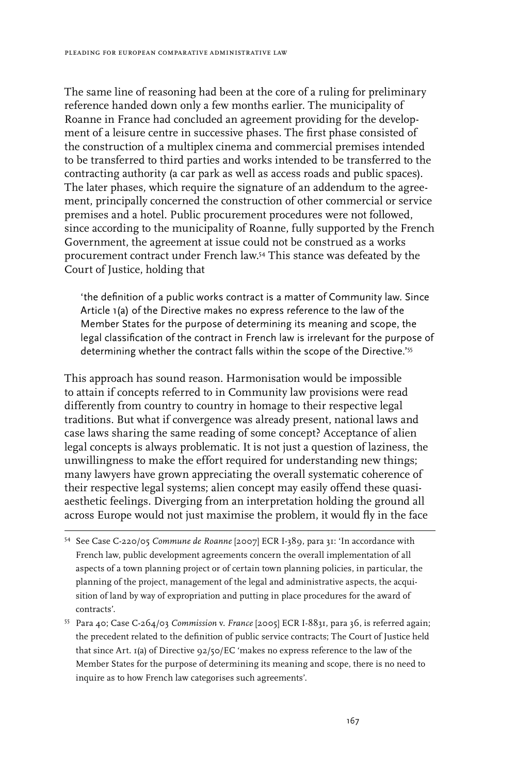The same line of reasoning had been at the core of a ruling for preliminary reference handed down only a few months earlier. The municipality of Roanne in France had concluded an agreement providing for the development of a leisure centre in successive phases. The first phase consisted of the construction of a multiplex cinema and commercial premises intended to be transferred to third parties and works intended to be transferred to the contracting authority (a car park as well as access roads and public spaces). The later phases, which require the signature of an addendum to the agreement, principally concerned the construction of other commercial or service premises and a hotel. Public procurement procedures were not followed, since according to the municipality of Roanne, fully supported by the French Government, the agreement at issue could not be construed as a works procurement contract under French law.54 This stance was defeated by the Court of Justice, holding that

'the definition of a public works contract is a matter of Community law. Since Article 1(a) of the Directive makes no express reference to the law of the Member States for the purpose of determining its meaning and scope, the legal classification of the contract in French law is irrelevant for the purpose of determining whether the contract falls within the scope of the Directive.'<sup>55</sup>

This approach has sound reason. Harmonisation would be impossible to attain if concepts referred to in Community law provisions were read differently from country to country in homage to their respective legal traditions. But what if convergence was already present, national laws and case laws sharing the same reading of some concept? Acceptance of alien legal concepts is always problematic. It is not just a question of laziness, the unwillingness to make the effort required for understanding new things; many lawyers have grown appreciating the overall systematic coherence of their respective legal systems; alien concept may easily offend these quasiaesthetic feelings. Diverging from an interpretation holding the ground all across Europe would not just maximise the problem, it would fly in the face

<sup>54</sup> See Case C-220/05 *Commune de Roanne* [2007] ECR I-389, para 31: 'In accordance with French law, public development agreements concern the overall implementation of all aspects of a town planning project or of certain town planning policies, in particular, the planning of the project, management of the legal and administrative aspects, the acquisition of land by way of expropriation and putting in place procedures for the award of contracts'.

<sup>55</sup> Para 40; Case C-264/03 *Commission* v. *France* [2005] ECR I-8831, para 36, is referred again; the precedent related to the definition of public service contracts; The Court of Justice held that since Art. 1(a) of Directive 92/50/EC 'makes no express reference to the law of the Member States for the purpose of determining its meaning and scope, there is no need to inquire as to how French law categorises such agreements'.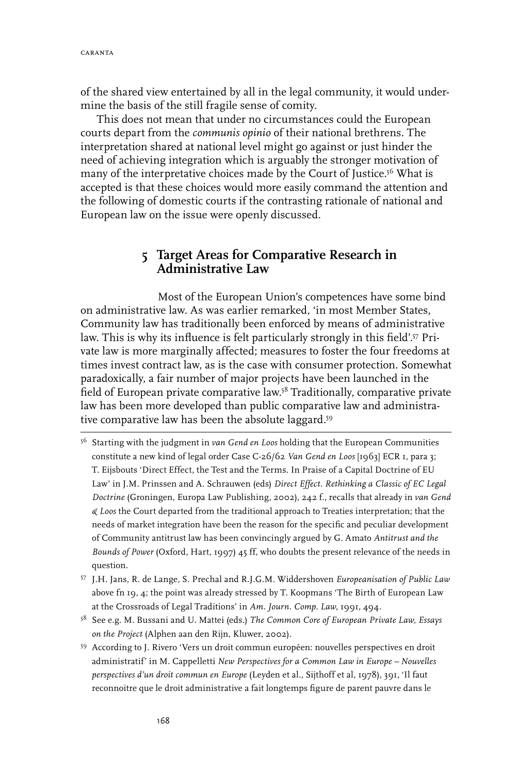of the shared view entertained by all in the legal community, it would undermine the basis of the still fragile sense of comity.

This does not mean that under no circumstances could the European courts depart from the *communis opinio* of their national brethrens. The interpretation shared at national level might go against or just hinder the need of achieving integration which is arguably the stronger motivation of many of the interpretative choices made by the Court of Justice.<sup>56</sup> What is accepted is that these choices would more easily command the attention and the following of domestic courts if the contrasting rationale of national and European law on the issue were openly discussed.

### **5 Target Areas for Comparative Research in Administrative Law**

Most of the European Union's competences have some bind on administrative law. As was earlier remarked, 'in most Member States, Community law has traditionally been enforced by means of administrative law. This is why its influence is felt particularly strongly in this field'.57 Private law is more marginally affected; measures to foster the four freedoms at times invest contract law, as is the case with consumer protection. Somewhat paradoxically, a fair number of major projects have been launched in the field of European private comparative law.58 Traditionally, comparative private law has been more developed than public comparative law and administrative comparative law has been the absolute laggard.59

- 56 Starting with the judgment in *van Gend en Loos* holding that the European Communities constitute a new kind of legal order Case C-26/62 *Van Gend en Loos* [1963] ECR 1, para 3; T. Eijsbouts 'Direct Effect, the Test and the Terms. In Praise of a Capital Doctrine of EU Law' in J.M. Prinssen and A. Schrauwen (eds) *Direct Effect. Rethinking a Classic of EC Legal Doctrine* (Groningen, Europa Law Publishing, 2002), 242 f., recalls that already in *van Gend & Loos* the Court departed from the traditional approach to Treaties interpretation; that the needs of market integration have been the reason for the specific and peculiar development of Community antitrust law has been convincingly argued by G. Amato *Antitrust and the Bounds of Power* (Oxford, Hart, 1997) 45 ff, who doubts the present relevance of the needs in question.
- 57 J.H. Jans, R. de Lange, S. Prechal and R.J.G.M. Widdershoven *Europeanisation of Public Law* above fn 19, 4; the point was already stressed by T. Koopmans 'The Birth of European Law at the Crossroads of Legal Traditions' in *Am. Journ. Comp. Law*, 1991, 494.
- 58 See e.g. M. Bussani and U. Mattei (eds.) *The Common Core of European Private Law, Essays on the Project* (Alphen aan den Rijn, Kluwer, 2002).
- 59 According to J. Rivero 'Vers un droit commun européen: nouvelles perspectives en droit administratif' in M. Cappelletti *New Perspectives for a Common Law in Europe – Nouvelles perspectives d'un droit commun en Europe* (Leyden et al., Sijthoff et al, 1978), 391, 'Il faut reconnoitre que le droit administrative a fait longtemps figure de parent pauvre dans le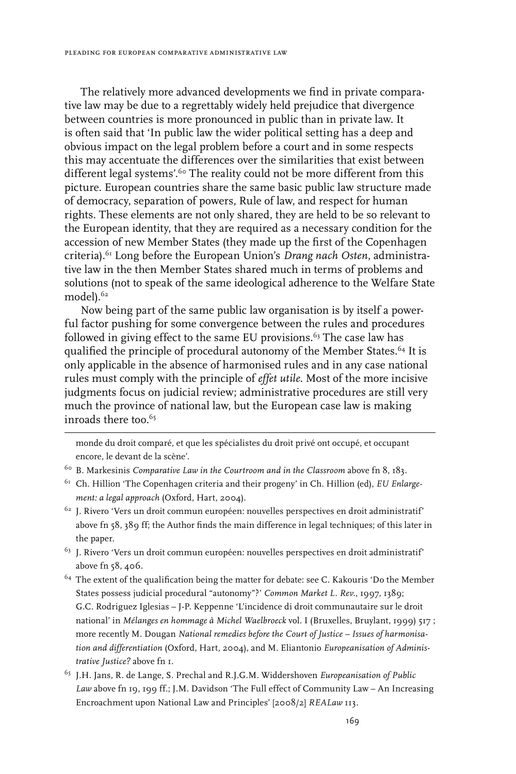The relatively more advanced developments we find in private comparative law may be due to a regrettably widely held prejudice that divergence between countries is more pronounced in public than in private law. It is often said that 'In public law the wider political setting has a deep and obvious impact on the legal problem before a court and in some respects this may accentuate the differences over the similarities that exist between different legal systems'.60 The reality could not be more different from this picture. European countries share the same basic public law structure made of democracy, separation of powers, Rule of law, and respect for human rights. These elements are not only shared, they are held to be so relevant to the European identity, that they are required as a necessary condition for the accession of new Member States (they made up the first of the Copenhagen criteria).61 Long before the European Union's *Drang nach Osten*, administrative law in the then Member States shared much in terms of problems and solutions (not to speak of the same ideological adherence to the Welfare State model).<sup>62</sup>

Now being part of the same public law organisation is by itself a powerful factor pushing for some convergence between the rules and procedures followed in giving effect to the same EU provisions.<sup>63</sup> The case law has qualified the principle of procedural autonomy of the Member States.<sup>64</sup> It is only applicable in the absence of harmonised rules and in any case national rules must comply with the principle of *effet utile*. Most of the more incisive judgments focus on judicial review; administrative procedures are still very much the province of national law, but the European case law is making inroads there too.<sup>65</sup>

monde du droit comparé, et que les spécialistes du droit privé ont occupé, et occupant encore, le devant de la scène'.

- 60 B. Markesinis *Comparative Law in the Courtroom and in the Classroom* above fn 8, 183.
- 61 Ch. Hillion 'The Copenhagen criteria and their progeny' in Ch. Hillion (ed), *EU Enlargement: a legal approach* (Oxford, Hart, 2004).
- $^{62}$  J. Rivero 'Vers un droit commun européen: nouvelles perspectives en droit administratif' above fn 58, 389 ff; the Author finds the main difference in legal techniques; of this later in the paper.
- $^{63}$  J. Rivero 'Vers un droit commun européen: nouvelles perspectives en droit administratif' above fn 58, 406.
- <sup>64</sup> The extent of the qualification being the matter for debate: see C. Kakouris 'Do the Member States possess judicial procedural "autonomy"?' *Common Market L. Rev.*, 1997, 1389; G.C. Rodriguez Iglesias – J-P. Keppenne 'L'incidence di droit communautaire sur le droit national' in *Mélanges en hommage à Michel Waelbroeck* vol. I (Bruxelles, Bruylant, 1999) 517 ; more recently M. Dougan *National remedies before the Court of Justice – Issues of harmonisation and differentiation* (Oxford, Hart, 2004), and M. Eliantonio *Europeanisation of Administrative Justice?* above fn 1.
- 65 J.H. Jans, R. de Lange, S. Prechal and R.J.G.M. Widdershoven *Europeanisation of Public Law* above fn 19, 199 ff.; J.M. Davidson 'The Full effect of Community Law – An Increasing Encroachment upon National Law and Principles' [2008/2] *REALaw* 113.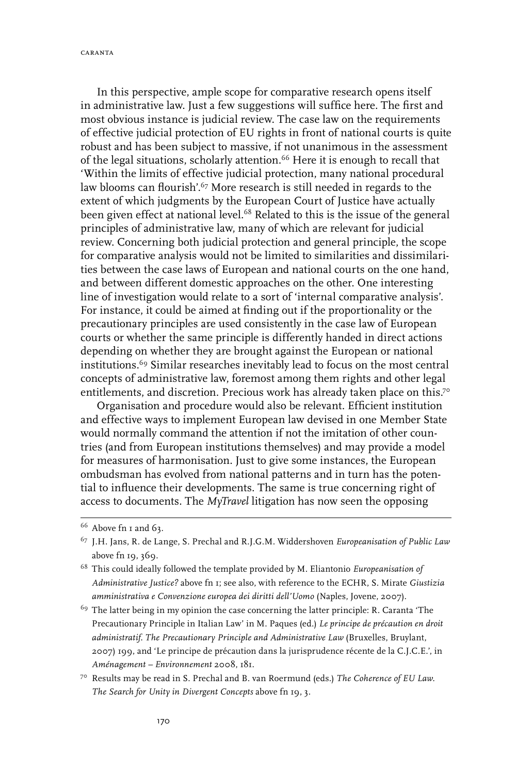caranta

In this perspective, ample scope for comparative research opens itself in administrative law. Just a few suggestions will suffice here. The first and most obvious instance is judicial review. The case law on the requirements of effective judicial protection of EU rights in front of national courts is quite robust and has been subject to massive, if not unanimous in the assessment of the legal situations, scholarly attention.66 Here it is enough to recall that 'Within the limits of effective judicial protection, many national procedural law blooms can flourish'.<sup>67</sup> More research is still needed in regards to the extent of which judgments by the European Court of Justice have actually been given effect at national level.<sup>68</sup> Related to this is the issue of the general principles of administrative law, many of which are relevant for judicial review. Concerning both judicial protection and general principle, the scope for comparative analysis would not be limited to similarities and dissimilarities between the case laws of European and national courts on the one hand, and between different domestic approaches on the other. One interesting line of investigation would relate to a sort of 'internal comparative analysis'. For instance, it could be aimed at finding out if the proportionality or the precautionary principles are used consistently in the case law of European courts or whether the same principle is differently handed in direct actions depending on whether they are brought against the European or national institutions.69 Similar researches inevitably lead to focus on the most central concepts of administrative law, foremost among them rights and other legal entitlements, and discretion. Precious work has already taken place on this.<sup>70</sup>

Organisation and procedure would also be relevant. Efficient institution and effective ways to implement European law devised in one Member State would normally command the attention if not the imitation of other countries (and from European institutions themselves) and may provide a model for measures of harmonisation. Just to give some instances, the European ombudsman has evolved from national patterns and in turn has the potential to influence their developments. The same is true concerning right of access to documents. The *MyTravel* litigation has now seen the opposing

 $66$  Above fn I and 63.

<sup>67</sup> J.H. Jans, R. de Lange, S. Prechal and R.J.G.M. Widdershoven *Europeanisation of Public Law* above fn 19, 369.

<sup>68</sup> This could ideally followed the template provided by M. Eliantonio *Europeanisation of Administrative Justice?* above fn 1; see also, with reference to the ECHR, S. Mirate *Giustizia amministrativa e Convenzione europea dei diritti dell'Uomo* (Naples, Jovene, 2007).

<sup>&</sup>lt;sup>69</sup> The latter being in my opinion the case concerning the latter principle: R. Caranta 'The Precautionary Principle in Italian Law' in M. Paques (ed.) *Le principe de précaution en droit administratif. The Precautionary Principle and Administrative Law* (Bruxelles, Bruylant, 2007) 199, and 'Le principe de précaution dans la jurisprudence récente de la C.J.C.E.', in *Aménagement – Environnement* 2008, 181.

<sup>70</sup> Results may be read in S. Prechal and B. van Roermund (eds.) *The Coherence of EU Law. The Search for Unity in Divergent Concepts* above fn 19, 3.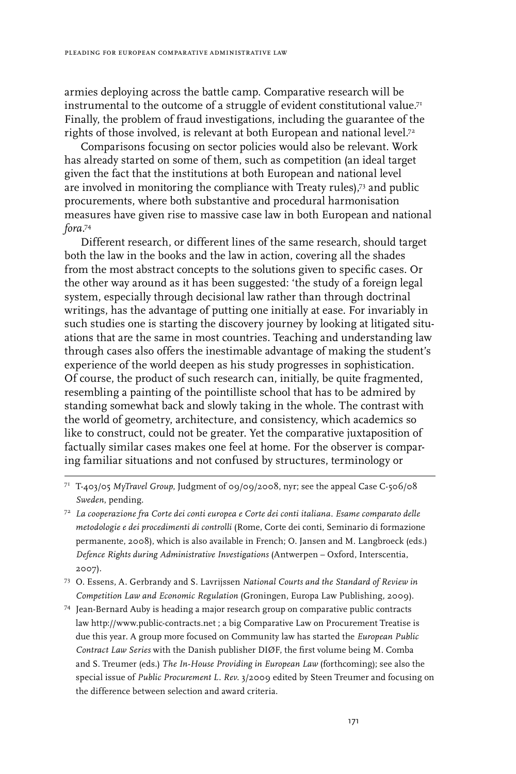armies deploying across the battle camp. Comparative research will be instrumental to the outcome of a struggle of evident constitutional value.<sup>71</sup> Finally, the problem of fraud investigations, including the guarantee of the rights of those involved, is relevant at both European and national level.<sup>72</sup>

Comparisons focusing on sector policies would also be relevant. Work has already started on some of them, such as competition (an ideal target given the fact that the institutions at both European and national level are involved in monitoring the compliance with Treaty rules),73 and public procurements, where both substantive and procedural harmonisation measures have given rise to massive case law in both European and national *fora*. 74

Different research, or different lines of the same research, should target both the law in the books and the law in action, covering all the shades from the most abstract concepts to the solutions given to specific cases. Or the other way around as it has been suggested: 'the study of a foreign legal system, especially through decisional law rather than through doctrinal writings, has the advantage of putting one initially at ease. For invariably in such studies one is starting the discovery journey by looking at litigated situations that are the same in most countries. Teaching and understanding law through cases also offers the inestimable advantage of making the student's experience of the world deepen as his study progresses in sophistication. Of course, the product of such research can, initially, be quite fragmented, resembling a painting of the pointilliste school that has to be admired by standing somewhat back and slowly taking in the whole. The contrast with the world of geometry, architecture, and consistency, which academics so like to construct, could not be greater. Yet the comparative juxtaposition of factually similar cases makes one feel at home. For the observer is comparing familiar situations and not confused by structures, terminology or

<sup>71</sup> T-403/05 *MyTravel Group*, Judgment of 09/09/2008, nyr; see the appeal Case C-506/08 *Sweden*, pending.

<sup>72</sup> *La cooperazione fra Corte dei conti europea e Corte dei conti italiana. Esame comparato delle metodologie e dei procedimenti di controlli* (Rome, Corte dei conti, Seminario di formazione permanente, 2008), which is also available in French; O. Jansen and M. Langbroeck (eds.) *Defence Rights during Administrative Investigations* (Antwerpen – Oxford, Interscentia, 2007).

<sup>73</sup> O. Essens, A. Gerbrandy and S. Lavrijssen *National Courts and the Standard of Review in Competition Law and Economic Regulation* (Groningen, Europa Law Publishing, 2009).

<sup>74</sup> Jean-Bernard Auby is heading a major research group on comparative public contracts law http://www.public-contracts.net ; a big Comparative Law on Procurement Treatise is due this year. A group more focused on Community law has started the *European Public Contract Law Series* with the Danish publisher DIØF, the first volume being M. Comba and S. Treumer (eds.) *The In-House Providing in European Law* (forthcoming); see also the special issue of *Public Procurement L. Rev.* 3/2009 edited by Steen Treumer and focusing on the difference between selection and award criteria.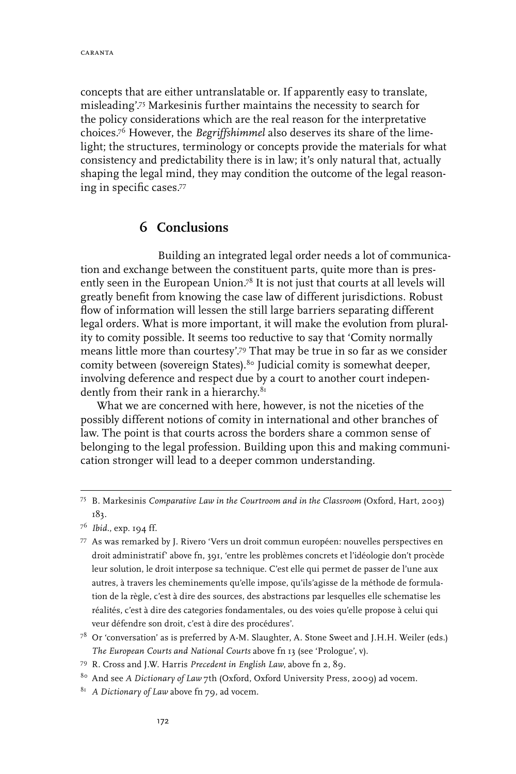concepts that are either untranslatable or. If apparently easy to translate, misleading'.75 Markesinis further maintains the necessity to search for the policy considerations which are the real reason for the interpretative choices.76 However, the *Begriffshimmel* also deserves its share of the limelight; the structures, terminology or concepts provide the materials for what consistency and predictability there is in law; it's only natural that, actually shaping the legal mind, they may condition the outcome of the legal reasoning in specific cases.77

### **6 Conclusions**

Building an integrated legal order needs a lot of communication and exchange between the constituent parts, quite more than is presently seen in the European Union.<sup>78</sup> It is not just that courts at all levels will greatly benefit from knowing the case law of different jurisdictions. Robust flow of information will lessen the still large barriers separating different legal orders. What is more important, it will make the evolution from plurality to comity possible. It seems too reductive to say that 'Comity normally means little more than courtesy'.79 That may be true in so far as we consider comity between (sovereign States).<sup>80</sup> Judicial comity is somewhat deeper, involving deference and respect due by a court to another court independently from their rank in a hierarchy.<sup>81</sup>

What we are concerned with here, however, is not the niceties of the possibly different notions of comity in international and other branches of law. The point is that courts across the borders share a common sense of belonging to the legal profession. Building upon this and making communication stronger will lead to a deeper common understanding.

- $7^8$  Or 'conversation' as is preferred by A-M. Slaughter, A. Stone Sweet and J.H.H. Weiler (eds.) *The European Courts and National Courts* above fn 13 (see 'Prologue', v).
- 79 R. Cross and J.W. Harris *Precedent in English Law*, above fn 2, 89.
- 80 And see *A Dictionary of Law* 7th (Oxford, Oxford University Press, 2009) ad vocem.
- <sup>81</sup> A Dictionary of Law above fn 79, ad vocem.

<sup>75</sup> B. Markesinis *Comparative Law in the Courtroom and in the Classroom* (Oxford, Hart, 2003) 183.

<sup>76</sup> *Ibid.*, exp. 194 ff.

<sup>77</sup> As was remarked by J. Rivero 'Vers un droit commun européen: nouvelles perspectives en droit administratif' above fn, 391, 'entre les problèmes concrets et l'idéologie don't procède leur solution, le droit interpose sa technique. C'est elle qui permet de passer de l'une aux autres, à travers les cheminements qu'elle impose, qu'ils'agisse de la méthode de formulation de la règle, c'est à dire des sources, des abstractions par lesquelles elle schematise les réalités, c'est à dire des categories fondamentales, ou des voies qu'elle propose à celui qui veur défendre son droit, c'est à dire des procédures'.